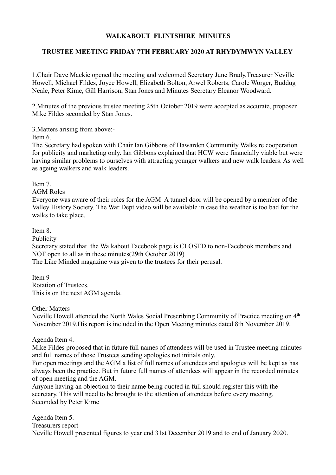## **WALKABOUT FLINTSHIRE MINUTES**

## **TRUSTEE MEETING FRIDAY 7TH FEBRUARY 2020 AT RHYDYMWYN VALLEY**

1.Chair Dave Mackie opened the meeting and welcomed Secretary June Brady,Treasurer Neville Howell, Michael Fildes, Joyce Howell, Elizabeth Bolton, Arwel Roberts, Carole Worger, Buddug Neale, Peter Kime, Gill Harrison, Stan Jones and Minutes Secretary Eleanor Woodward.

2.Minutes of the previous trustee meeting 25th October 2019 were accepted as accurate, proposer Mike Fildes seconded by Stan Jones.

3.Matters arising from above:-

Item 6.

The Secretary had spoken with Chair Ian Gibbons of Hawarden Community Walks re cooperation for publicity and marketing only. Ian Gibbons explained that HCW were financially viable but were having similar problems to ourselves with attracting younger walkers and new walk leaders. As well as ageing walkers and walk leaders.

Item 7.

AGM Roles

Everyone was aware of their roles for the AGM A tunnel door will be opened by a member of the Valley History Society. The War Dept video will be available in case the weather is too bad for the walks to take place.

Item 8.

Publicity

Secretary stated that the Walkabout Facebook page is CLOSED to non-Facebook members and NOT open to all as in these minutes(29th October 2019)

The Like Minded magazine was given to the trustees for their perusal.

Item 9 Rotation of Trustees. This is on the next AGM agenda.

Other Matters

Neville Howell attended the North Wales Social Prescribing Community of Practice meeting on 4<sup>th</sup> November 2019.His report is included in the Open Meeting minutes dated 8th November 2019.

Agenda Item 4.

Mike Fildes proposed that in future full names of attendees will be used in Trustee meeting minutes and full names of those Trustees sending apologies not initials only.

For open meetings and the AGM a list of full names of attendees and apologies will be kept as has always been the practice. But in future full names of attendees will appear in the recorded minutes of open meeting and the AGM.

Anyone having an objection to their name being quoted in full should register this with the secretary. This will need to be brought to the attention of attendees before every meeting. Seconded by Peter Kime

Agenda Item 5. Treasurers report Neville Howell presented figures to year end 31st December 2019 and to end of January 2020.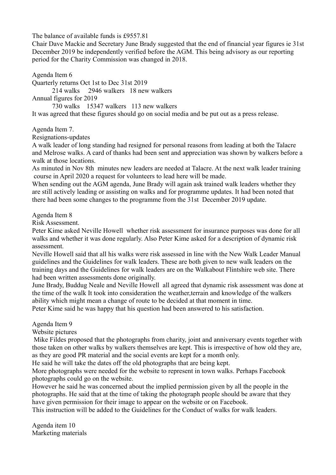The balance of available funds is £9557.81

Chair Dave Mackie and Secretary June Brady suggested that the end of financial year figures ie 31st December 2019 be independently verified before the AGM. This being advisory as our reporting period for the Charity Commission was changed in 2018.

Agenda Item 6

Quarterly returns Oct 1st to Dec 31st 2019

214 walks 2946 walkers 18 new walkers

Annual figures for 2019

730 walks 15347 walkers 113 new walkers

It was agreed that these figures should go on social media and be put out as a press release.

Agenda Item 7.

Resignations-updates

A walk leader of long standing had resigned for personal reasons from leading at both the Talacre and Melrose walks. A card of thanks had been sent and appreciation was shown by walkers before a walk at those locations.

As minuted in Nov 8th minutes new leaders are needed at Talacre. At the next walk leader training course in April 2020 a request for volunteers to lead here will be made.

When sending out the AGM agenda, June Brady will again ask trained walk leaders whether they are still actively leading or assisting on walks and for programme updates. It had been noted that there had been some changes to the programme from the 31st December 2019 update.

Agenda Item 8

Risk Assessment.

Peter Kime asked Neville Howell whether risk assessment for insurance purposes was done for all walks and whether it was done regularly. Also Peter Kime asked for a description of dynamic risk assessment.

Neville Howell said that all his walks were risk assessed in line with the New Walk Leader Manual guidelines and the Guidelines for walk leaders. These are both given to new walk leaders on the training days and the Guidelines for walk leaders are on the Walkabout Flintshire web site. There had been written assessments done originally.

June Brady, Buddug Neale and Neville Howell all agreed that dynamic risk assessment was done at the time of the walk It took into consideration the weather,terrain and knowledge of the walkers ability which might mean a change of route to be decided at that moment in time.

Peter Kime said he was happy that his question had been answered to his satisfaction.

Agenda Item 9

Website pictures

 Mike Fildes proposed that the photographs from charity, joint and anniversary events together with those taken on other walks by walkers themselves are kept. This is irrespective of how old they are, as they are good PR material and the social events are kept for a month only.

He said he will take the dates off the old photographs that are being kept.

More photographs were needed for the website to represent in town walks. Perhaps Facebook photographs could go on the website.

However he said he was concerned about the implied permission given by all the people in the photographs. He said that at the time of taking the photograph people should be aware that they have given permission for their image to appear on the website or on Facebook.

This instruction will be added to the Guidelines for the Conduct of walks for walk leaders.

Agenda item 10 Marketing materials